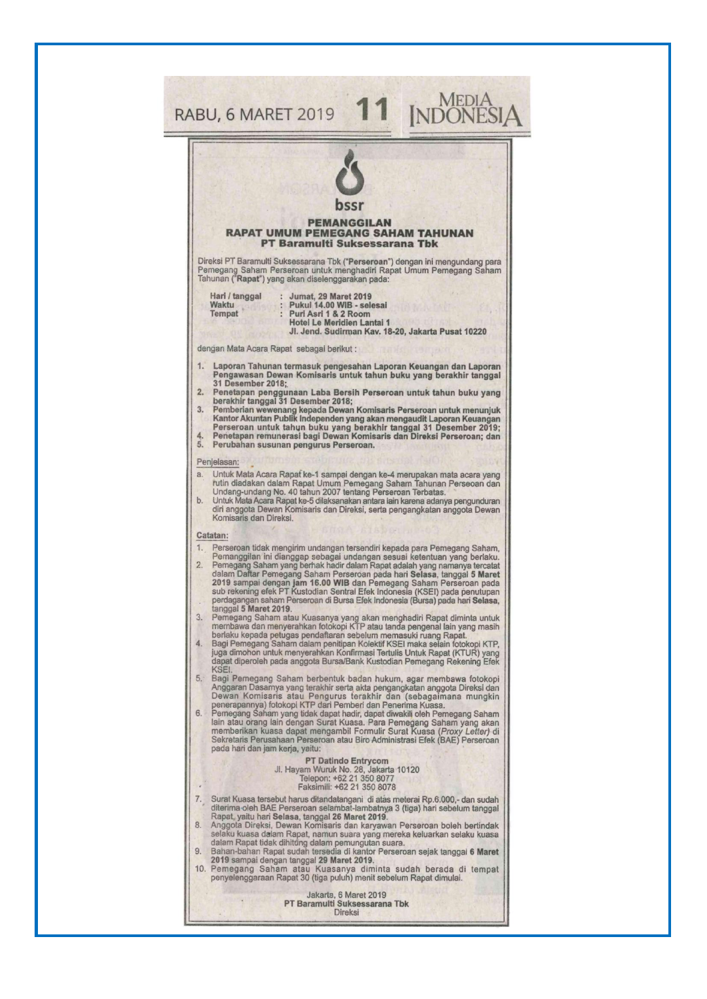|                                                                           | bssr<br><b>PEMANGGILAN</b>                                                                                                                                                                                                   |  |
|---------------------------------------------------------------------------|------------------------------------------------------------------------------------------------------------------------------------------------------------------------------------------------------------------------------|--|
| <b>RAPAT UMUM PEMEGANG SAHAM TAHUNAN</b><br>PT Baramulti Suksessarana Tbk |                                                                                                                                                                                                                              |  |
|                                                                           | Direksi PT Baramulti Suksessarana Tbk ("Perseroan") dengan ini mengundang para<br>Pemegang Saham Perseroan untuk menghadiri Rapat Umum Pemegang Saham<br>Tahunan ("Rapat") yang akan diselenggarakan pada:                   |  |
|                                                                           | Hari / tanggal<br>: Jumat, 29 Maret 2019<br>Waktu<br>Pukul 14.00 WIB - selesai                                                                                                                                               |  |
|                                                                           | Tempat<br>Puri Asri 1 & 2 Room<br>Hotel Le Meridien Lantai 1                                                                                                                                                                 |  |
|                                                                           | Jl. Jend. Sudirman Kav. 18-20. Jakarta Pusat 10220<br>dengan Mata Acara Rapat sebagai berikut:                                                                                                                               |  |
| 1.                                                                        | Laporan Tahunan termasuk pengesahan Laporan Keuangan dan Laporan                                                                                                                                                             |  |
|                                                                           | Pengawasan Dewan Komisaris untuk tahun buku yang berakhir tanggal<br>31 Desember 2018;                                                                                                                                       |  |
| 3.                                                                        | 2. Penetapan penggunaan Laba Bersih Perseroan untuk tahun buku yang<br>berakhir tanggal 31 Desember 2018;<br>Pemberian wewenang kepada Dewan Komisaris Perseroan untuk menunjuk                                              |  |
|                                                                           | Kantor Akuntan Publik Independen yang akan mengaudit Laporan Keuangan<br>Perseroan untuk tahun buku yang berakhir tanggal 31 Desember 2019;                                                                                  |  |
| 4.<br>5.                                                                  | Penetapan remunerasi bagi Dewan Komisaris dan Direksi Perseroan; dan<br>Perubahan susunan pengurus Perseroan.                                                                                                                |  |
|                                                                           | Penjelasan:                                                                                                                                                                                                                  |  |
| a.                                                                        | Untuk Mata Acara Rapat ke-1 sampai dengan ke-4 merupakan mata acara yang<br>rutin diadakan dalam Rapat Umum Pemegang Saham Tahunan Perseoan dan                                                                              |  |
| b.                                                                        | Undang-undang No. 40 tahun 2007 tentang Perseroan Terbatas.<br>Untuk Mata Acara Rapat ke-5 dilaksanakan antara lain karena adanya pengunduran<br>diri anggota Dewan Komisaris dan Direksi, serta pengangkatan anggota Dewan  |  |
|                                                                           | Komisaris dan Direksi.                                                                                                                                                                                                       |  |
| 1.                                                                        | Catatan:<br>Perseroan tidak mengirim undangan tersendiri kepada para Pemegang Saham,                                                                                                                                         |  |
| 2.                                                                        | Pemanggilan ini dianggap sebagai undangan sesuai ketentuan yang berlaku.<br>Pemegang Saham yang berhak hadir dalam Rapat adalah yang namanya tercatat                                                                        |  |
|                                                                           | dalam Daftar Pemegang Saham Perseroan pada hari Selasa, tanggal 5 Maret<br>2019 sampai dengan jam 16.00 WIB dan Pemegang Saham Perseroan pada<br>sub rekening efek PT Kustodian Sentral Efek Indonesia (KSEI) pada penutupan |  |
|                                                                           | perdagangan saham Perseroan di Bursa Efek Indonesia (Bursa) pada hari Selasa,<br>tanggal 5 Maret 2019.                                                                                                                       |  |
| 3.                                                                        | Pemegang Saham atau Kuasanya yang akan menghadiri Rapat diminta untuk<br>membawa dan menyerahkan fotokopi KTP atau tanda pengenal lain yang masih                                                                            |  |
| 4.                                                                        | berlaku kepada petugas pendaftaran sebelum memasuki ruang Rapat.<br>Bagi Pemegang Saham dalam penitipan Kolektif KSEI maka selain fotokopi KTP,                                                                              |  |
|                                                                           | juga dimohon untuk menyerahkan Konfirmasi Tertulis Untuk Rapat (KTUR) yang<br>dapat diperoleh pada anggota Bursa/Bank Kustodian Pemegang Rekening Efek                                                                       |  |
| 5.1                                                                       | KSEI.<br>Bagi Pemegang Saham berbentuk badan hukum, agar membawa fotokopi<br>Anggaran Dasarnya yang terakhir serta akta pengangkatan anggota Direksi dan                                                                     |  |
|                                                                           | Dewan Komisaris atau Pengurus terakhir dan (sebagaimana mungkin<br>penerapannya) fotokopi KTP dari Pemberi dan Penerima Kuasa.                                                                                               |  |
| 6.                                                                        | Pemegang Saham yang tidak dapat hadir, dapat diwakili oleh Pemegang Saham<br>lain atau orang lain dengan Surat Kuasa. Para Pemegang Saham yang akan                                                                          |  |
|                                                                           | memberikan kuasa dapat mengambil Formulir Surat Kuasa (Proxy Letter) di<br>Sekretaris Perusahaan Perseroan atau Biro Administrasi Efek (BAE) Perseroan<br>pada hari dan jam kerja, yaitu:                                    |  |
|                                                                           | <b>PT Datindo Entrycom</b><br>Jl. Hayam Wuruk No. 28, Jakarta 10120                                                                                                                                                          |  |
|                                                                           | Telepon: +62 21 350 8077<br>Faksimili: +62 21 350 8078                                                                                                                                                                       |  |
| 7.                                                                        | Surat Kuasa tersebut harus ditandatangani di atas meterai Rp.6.000,- dan sudah<br>diterima oleh BAE Perseroan selambat-lambatnya 3 (tiga) hari sebelum tanggal                                                               |  |
| 8.                                                                        | Rapat, yaitu hari Selasa, tanggal 26 Maret 2019.<br>Anggota Direksi, Dewan Komisaris dan karyawan Perseroan boleh bertindak                                                                                                  |  |
|                                                                           | selaku kuasa dalam Rapat, namun suara yang mereka keluarkan selaku kuasa<br>dalam Rapat tidak dihitung dalam pemungutan suara.                                                                                               |  |
| 9.                                                                        | Bahan-bahan Rapat sudah tersedia di kantor Perseroan sejak tanggal 6 Maret<br>2019 sampai dengan tanggal 29 Maret 2019.<br>10. Pemegang Saham atau Kuasanya diminta sudah berada di tempat                                   |  |
|                                                                           | penyelenggaraan Rapat 30 (tiga puluh) menit sebelum Rapat dimulai.                                                                                                                                                           |  |
|                                                                           |                                                                                                                                                                                                                              |  |